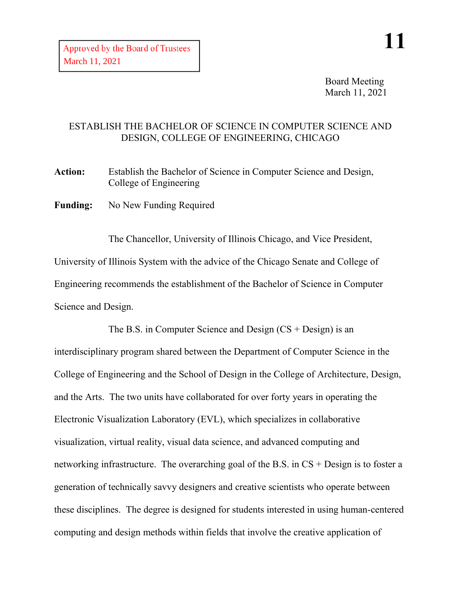Board Meeting March 11, 2021

## ESTABLISH THE BACHELOR OF SCIENCE IN COMPUTER SCIENCE AND DESIGN, COLLEGE OF ENGINEERING, CHICAGO

Action: Establish the Bachelor of Science in Computer Science and Design, College of Engineering

**Funding:** No New Funding Required

The Chancellor, University of Illinois Chicago, and Vice President, University of Illinois System with the advice of the Chicago Senate and College of Engineering recommends the establishment of the Bachelor of Science in Computer Science and Design.

The B.S. in Computer Science and Design  $(CS + Design)$  is an interdisciplinary program shared between the Department of Computer Science in the College of Engineering and the School of Design in the College of Architecture, Design, and the Arts. The two units have collaborated for over forty years in operating the Electronic Visualization Laboratory (EVL), which specializes in collaborative visualization, virtual reality, visual data science, and advanced computing and networking infrastructure. The overarching goal of the B.S. in CS + Design is to foster a generation of technically savvy designers and creative scientists who operate between these disciplines. The degree is designed for students interested in using human-centered computing and design methods within fields that involve the creative application of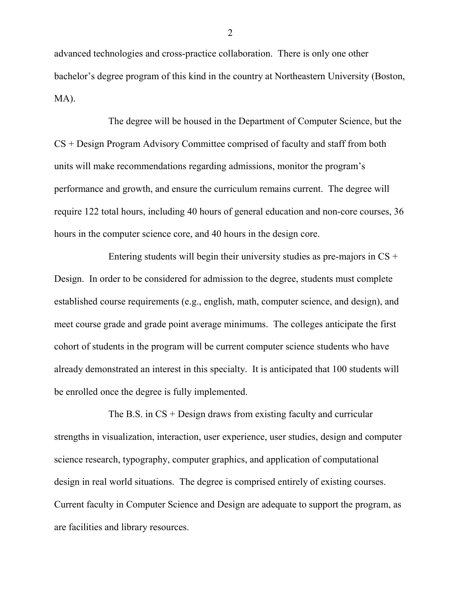advanced technologies and cross-practice collaboration. There is only one other bachelor's degree program of this kind in the country at Northeastern University (Boston, MA).

The degree will be housed in the Department of Computer Science, but the CS + Design Program Advisory Committee comprised of faculty and staff from both units will make recommendations regarding admissions, monitor the program's performance and growth, and ensure the curriculum remains current. The degree will require 122 total hours, including 40 hours of general education and non-core courses, 36 hours in the computer science core, and 40 hours in the design core.

Entering students will begin their university studies as pre-majors in  $CS +$ Design. In order to be considered for admission to the degree, students must complete established course requirements (e.g., english, math, computer science, and design), and meet course grade and grade point average minimums. The colleges anticipate the first cohort of students in the program will be current computer science students who have already demonstrated an interest in this specialty. It is anticipated that 100 students will be enrolled once the degree is fully implemented.

The B.S. in  $CS + Design$  draws from existing faculty and curricular strengths in visualization, interaction, user experience, user studies, design and computer science research, typography, computer graphics, and application of computational design in real world situations. The degree is comprised entirely of existing courses. Current faculty in Computer Science and Design are adequate to support the program, as are facilities and library resources.

2